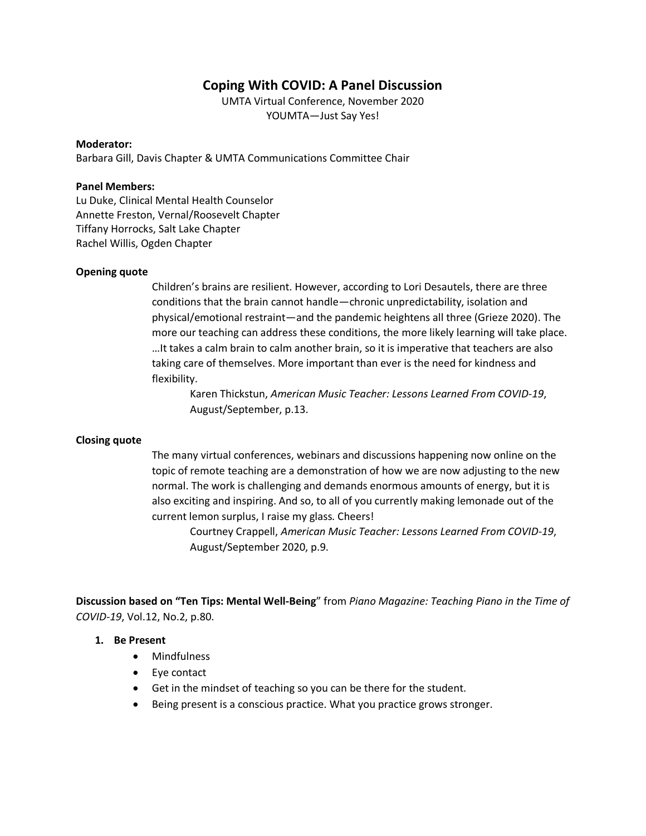## **Coping With COVID: A Panel Discussion**

UMTA Virtual Conference, November 2020 YOUMTA—Just Say Yes!

#### **Moderator:**

Barbara Gill, Davis Chapter & UMTA Communications Committee Chair

#### **Panel Members:**

Lu Duke, Clinical Mental Health Counselor Annette Freston, Vernal/Roosevelt Chapter Tiffany Horrocks, Salt Lake Chapter Rachel Willis, Ogden Chapter

#### **Opening quote**

Children's brains are resilient. However, according to Lori Desautels, there are three conditions that the brain cannot handle—chronic unpredictability, isolation and physical/emotional restraint—and the pandemic heightens all three (Grieze 2020). The more our teaching can address these conditions, the more likely learning will take place. …It takes a calm brain to calm another brain, so it is imperative that teachers are also taking care of themselves. More important than ever is the need for kindness and flexibility.

Karen Thickstun, *American Music Teacher: Lessons Learned From COVID-19*, August/September, p.13.

#### **Closing quote**

The many virtual conferences, webinars and discussions happening now online on the topic of remote teaching are a demonstration of how we are now adjusting to the new normal. The work is challenging and demands enormous amounts of energy, but it is also exciting and inspiring. And so, to all of you currently making lemonade out of the current lemon surplus, I raise my glass. Cheers!

Courtney Crappell, *American Music Teacher: Lessons Learned From COVID-19*, August/September 2020, p.9.

**Discussion based on "Ten Tips: Mental Well-Being**" from *Piano Magazine: Teaching Piano in the Time of COVID-19*, Vol.12, No.2, p.80.

#### **1. Be Present**

- Mindfulness
- Eye contact
- Get in the mindset of teaching so you can be there for the student.
- Being present is a conscious practice. What you practice grows stronger.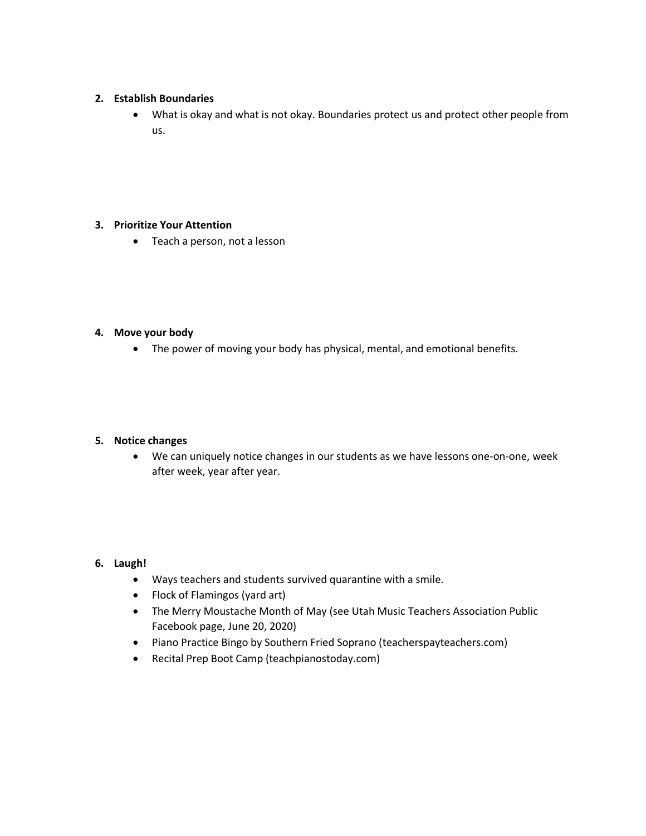## **2. Establish Boundaries**

• What is okay and what is not okay. Boundaries protect us and protect other people from us.

## **3. Prioritize Your Attention**

• Teach a person, not a lesson

## **4. Move your body**

• The power of moving your body has physical, mental, and emotional benefits.

## **5. Notice changes**

• We can uniquely notice changes in our students as we have lessons one-on-one, week after week, year after year.

## **6. Laugh!**

- Ways teachers and students survived quarantine with a smile.
- Flock of Flamingos (yard art)
- The Merry Moustache Month of May (see Utah Music Teachers Association Public Facebook page, June 20, 2020)
- Piano Practice Bingo by Southern Fried Soprano (teacherspayteachers.com)
- Recital Prep Boot Camp (teachpianostoday.com)